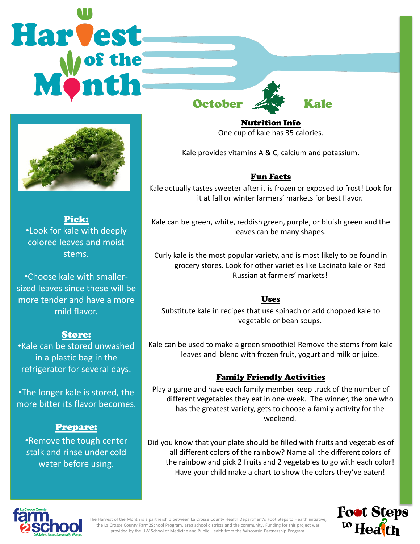



Pick: •Look for kale with deeply colored leaves and moist stems.

•Choose kale with smallersized leaves since these will be more tender and have a more mild flavor.

# Store:

•Kale can be stored unwashed in a plastic bag in the refrigerator for several days.

•The longer kale is stored, the more bitter its flavor becomes.

# Prepare:

•Remove the tough center stalk and rinse under cold water before using.

Nutrition Info One cup of kale has 35 calories.

Kale provides vitamins A & C, calcium and potassium.

# Fun Facts

Kale actually tastes sweeter after it is frozen or exposed to frost! Look for it at fall or winter farmers' markets for best flavor.

Kale can be green, white, reddish green, purple, or bluish green and the leaves can be many shapes.

Curly kale is the most popular variety, and is most likely to be found in grocery stores. Look for other varieties like Lacinato kale or Red Russian at farmers' markets!

# Uses

Substitute kale in recipes that use spinach or add chopped kale to vegetable or bean soups.

Kale can be used to make a green smoothie! Remove the stems from kale leaves and blend with frozen fruit, yogurt and milk or juice.

# Family Friendly Activities

Play a game and have each family member keep track of the number of different vegetables they eat in one week. The winner, the one who has the greatest variety, gets to choose a family activity for the weekend.

Did you know that your plate should be filled with fruits and vegetables of all different colors of the rainbow? Name all the different colors of the rainbow and pick 2 fruits and 2 vegetables to go with each color! Have your child make a chart to show the colors they've eaten!





The Harvest of the Month is a partnership between La Crosse County Health Department's Foot Steps to Health initiative, the La Crosse County Farm2School Program, area school districts and the community. Funding for this project was provided by the UW School of Medicine and Public Health from the Wisconsin Partnership Program.